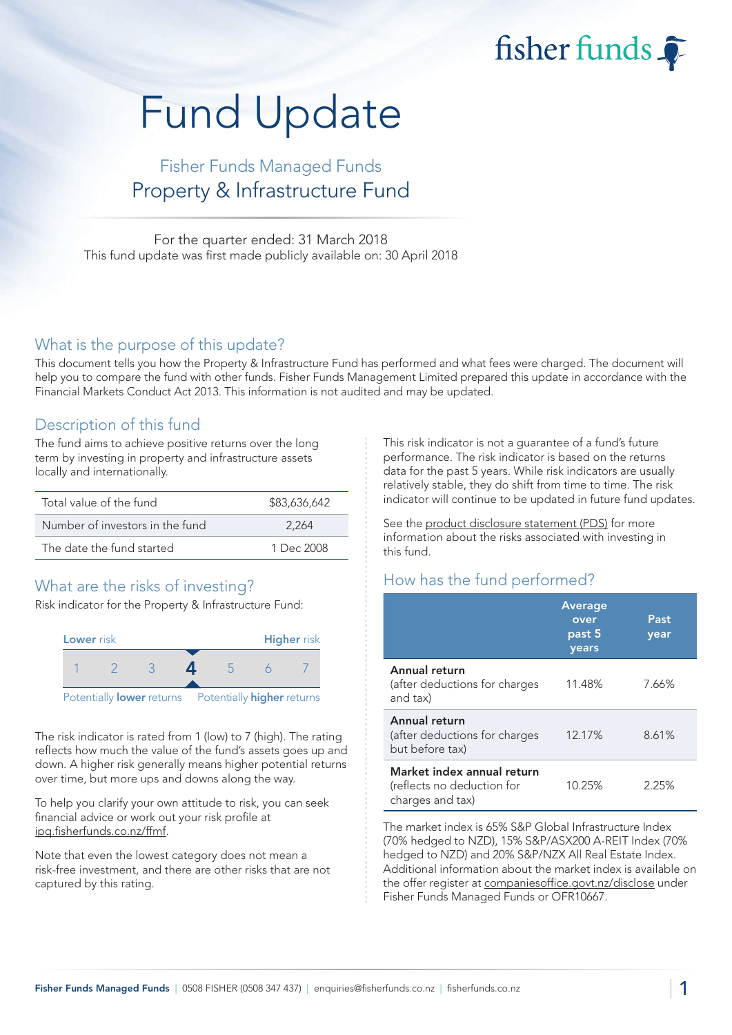fisher funds

# Fund Update

## Fisher Funds Managed Funds Property & Infrastructure Fund

For the quarter ended: 31 March 2018 This fund update was first made publicly available on: 30 April 2018

#### What is the purpose of this update?

This document tells you how the Property & Infrastructure Fund has performed and what fees were charged. The document will help you to compare the fund with other funds. Fisher Funds Management Limited prepared this update in accordance with the Financial Markets Conduct Act 2013. This information is not audited and may be updated.

## Description of this fund

The fund aims to achieve positive returns over the long term by investing in property and infrastructure assets locally and internationally.

| Total value of the fund         | \$83,636,642 |
|---------------------------------|--------------|
| Number of investors in the fund | 2.264        |
| The date the fund started       | 1 Dec $2008$ |

## What are the risks of investing?

Risk indicator for the Property & Infrastructure Fund:



The risk indicator is rated from 1 (low) to 7 (high). The rating reflects how much the value of the fund's assets goes up and down. A higher risk generally means higher potential returns over time, but more ups and downs along the way.

To help you clarify your own attitude to risk, you can seek financial advice or work out your risk profile at [ipq.fisherfunds.co.nz/ffmf.](https://ipq.fisherfunds.co.nz/ffmf)

Note that even the lowest category does not mean a risk-free investment, and there are other risks that are not captured by this rating.

This risk indicator is not a guarantee of a fund's future performance. The risk indicator is based on the returns data for the past 5 years. While risk indicators are usually relatively stable, they do shift from time to time. The risk indicator will continue to be updated in future fund updates.

See the [product disclosure statement \(PDS\)](https://fisherfunds.co.nz/assets/PDS/Fisher-Funds-Managed-Funds-PDS.pdf) for more information about the risks associated with investing in this fund.

## How has the fund performed?

|                                                                              | <b>Average</b><br>over<br>past 5<br>years | Past<br>year |
|------------------------------------------------------------------------------|-------------------------------------------|--------------|
| Annual return<br>(after deductions for charges<br>and tax)                   | 11.48%                                    | 7.66%        |
| Annual return<br>(after deductions for charges<br>but before tax)            | 12.17%                                    | 8.61%        |
| Market index annual return<br>(reflects no deduction for<br>charges and tax) | 10.25%                                    | 2.25%        |

The market index is 65% S&P Global Infrastructure Index (70% hedged to NZD), 15% S&P/ASX200 A-REIT Index (70% hedged to NZD) and 20% S&P/NZX All Real Estate Index. Additional information about the market index is available on the offer register at [companiesoffice.govt.nz/disclose](http://companiesoffice.govt.nz/disclose) under Fisher Funds Managed Funds or OFR10667.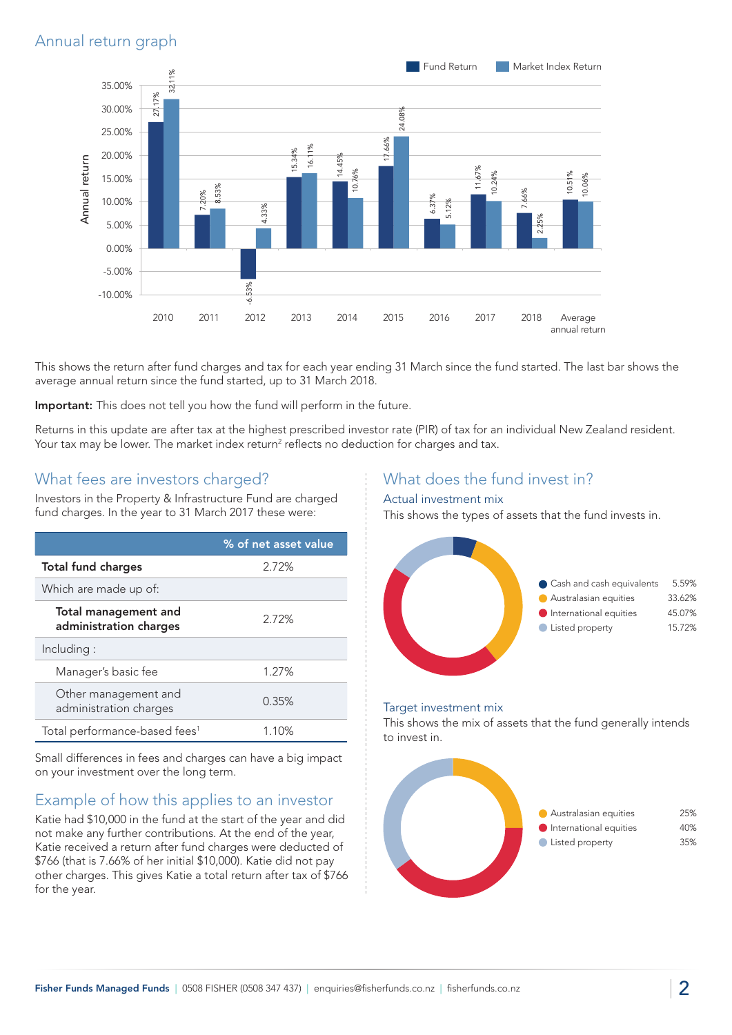## Annual return graph



This shows the return after fund charges and tax for each year ending 31 March since the fund started. The last bar shows the average annual return since the fund started, up to 31 March 2018.

Important: This does not tell you how the fund will perform in the future.

Returns in this update are after tax at the highest prescribed investor rate (PIR) of tax for an individual New Zealand resident. Your tax may be lower. The market index return<sup>2</sup> reflects no deduction for charges and tax.

## What fees are investors charged?

Investors in the Property & Infrastructure Fund are charged fund charges. In the year to 31 March 2017 these were:

|                                                       | % of net asset value |
|-------------------------------------------------------|----------------------|
| <b>Total fund charges</b>                             | 2.72%                |
| Which are made up of:                                 |                      |
| <b>Total management and</b><br>administration charges | 2.72%                |
| Including:                                            |                      |
| Manager's basic fee                                   | 1.27%                |
| Other management and<br>administration charges        | 0.35%                |
| Total performance-based fees <sup>1</sup>             | 1.10%                |

Small differences in fees and charges can have a big impact on your investment over the long term.

## Example of how this applies to an investor

Katie had \$10,000 in the fund at the start of the year and did not make any further contributions. At the end of the year, Katie received a return after fund charges were deducted of \$766 (that is 7.66% of her initial \$10,000). Katie did not pay other charges. This gives Katie a total return after tax of \$766 for the year.

## What does the fund invest in?

#### Actual investment mix

This shows the types of assets that the fund invests in.



#### Target investment mix

This shows the mix of assets that the fund generally intends to invest in.